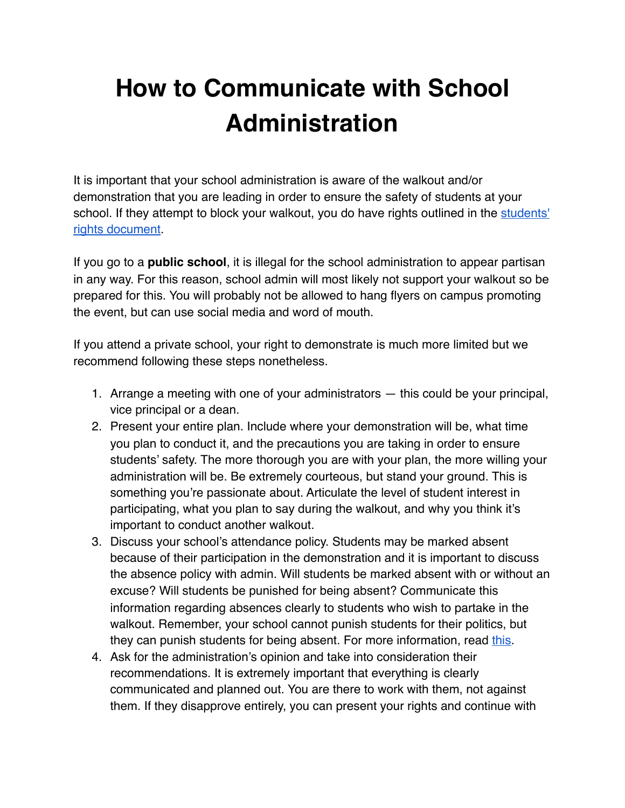## **How to Communicate with School Administration**

It is important that your school administration is aware of the walkout and/or demonstration that you are leading in order to ensure the safety of students at your school. If they attempt to block your walkout, you do have rights outlined in the students' [rights document](https://docs.google.com/document/d/1fWByDc8-ZkY5AAKXmm9lPAOinhcMd-oDUs-jEWl8dCQ/edit?usp=sharing).

If you go to a **public school**, it is illegal for the school administration to appear partisan in any way. For this reason, school admin will most likely not support your walkout so be prepared for this. You will probably not be allowed to hang flyers on campus promoting the event, but can use social media and word of mouth.

If you attend a private school, your right to demonstrate is much more limited but we recommend following these steps nonetheless.

- 1. Arrange a meeting with one of your administrators this could be your principal, vice principal or a dean.
- 2. Present your entire plan. Include where your demonstration will be, what time you plan to conduct it, and the precautions you are taking in order to ensure students' safety. The more thorough you are with your plan, the more willing your administration will be. Be extremely courteous, but stand your ground. This is something you're passionate about. Articulate the level of student interest in participating, what you plan to say during the walkout, and why you think it's important to conduct another walkout.
- 3. Discuss your school's attendance policy. Students may be marked absent because of their participation in the demonstration and it is important to discuss the absence policy with admin. Will students be marked absent with or without an excuse? Will students be punished for being absent? Communicate this information regarding absences clearly to students who wish to partake in the walkout. Remember, your school cannot punish students for their politics, but they can punish students for being absent. For more information, read [this.](https://docs.google.com/document/d/1fWByDc8-ZkY5AAKXmm9lPAOinhcMd-oDUs-jEWl8dCQ/edit?usp=sharing)
- 4. Ask for the administration's opinion and take into consideration their recommendations. It is extremely important that everything is clearly communicated and planned out. You are there to work with them, not against them. If they disapprove entirely, you can present your rights and continue with